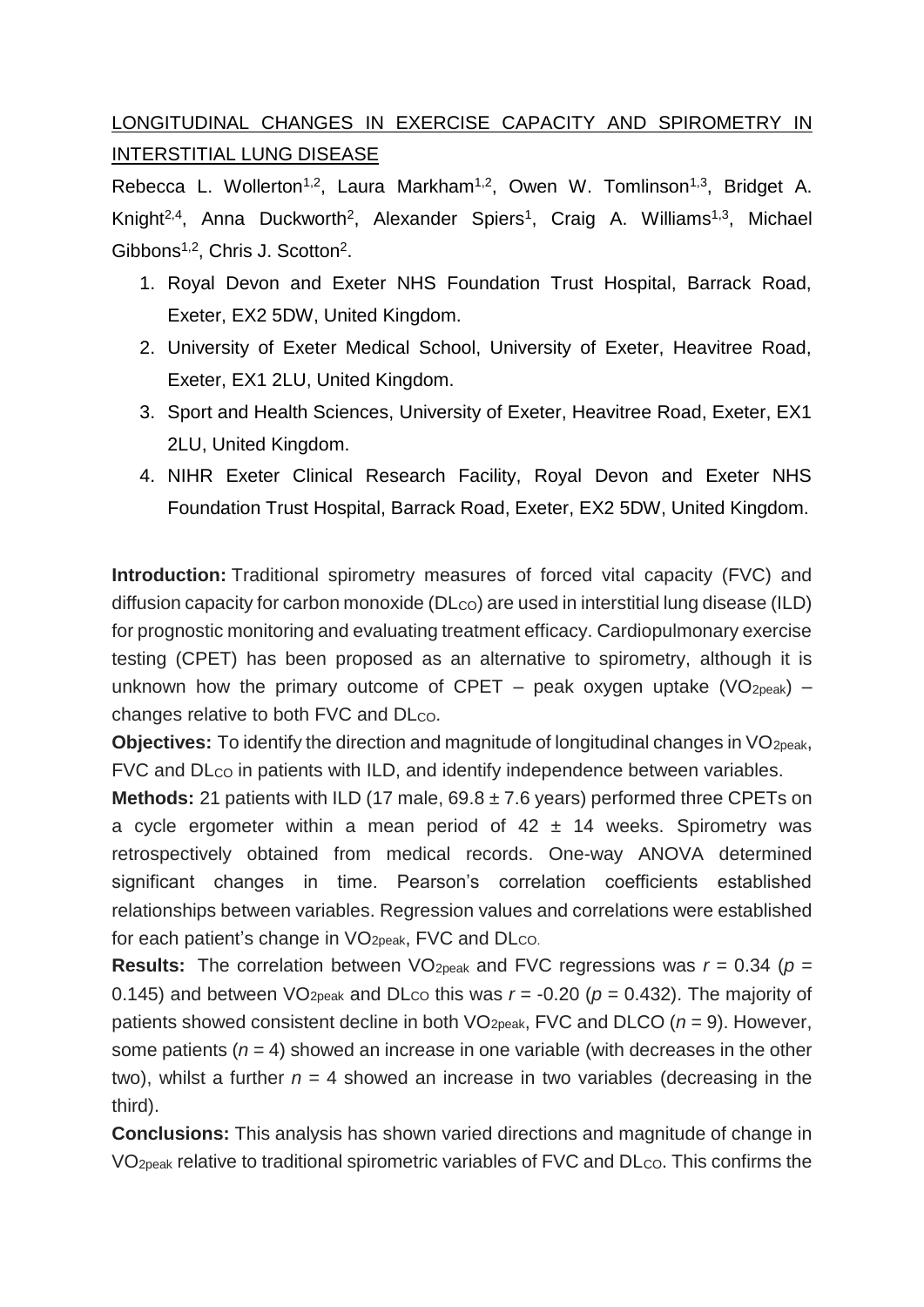## LONGITUDINAL CHANGES IN EXERCISE CAPACITY AND SPIROMETRY IN INTERSTITIAL LUNG DISEASE

Rebecca L. Wollerton<sup>1,2</sup>, Laura Markham<sup>1,2</sup>, Owen W. Tomlinson<sup>1,3</sup>, Bridget A. Knight<sup>2,4</sup>, Anna Duckworth<sup>2</sup>, Alexander Spiers<sup>1</sup>, Craig A. Williams<sup>1,3</sup>, Michael Gibbons<sup>1,2</sup>, Chris J. Scotton<sup>2</sup>.

- 1. Royal Devon and Exeter NHS Foundation Trust Hospital, Barrack Road, Exeter, EX2 5DW, United Kingdom.
- 2. University of Exeter Medical School, University of Exeter, Heavitree Road, Exeter, EX1 2LU, United Kingdom.
- 3. Sport and Health Sciences, University of Exeter, Heavitree Road, Exeter, EX1 2LU, United Kingdom.
- 4. NIHR Exeter Clinical Research Facility, Royal Devon and Exeter NHS Foundation Trust Hospital, Barrack Road, Exeter, EX2 5DW, United Kingdom.

**Introduction:** Traditional spirometry measures of forced vital capacity (FVC) and diffusion capacity for carbon monoxide (DLco) are used in interstitial lung disease (ILD) for prognostic monitoring and evaluating treatment efficacy. Cardiopulmonary exercise testing (CPET) has been proposed as an alternative to spirometry, although it is unknown how the primary outcome of CPET – peak oxygen uptake (VO<sub>2peak</sub>) – changes relative to both FVC and DLco.

**Objectives:** To identify the direction and magnitude of longitudinal changes in VO<sub>2peak</sub>, FVC and DL<sub>co</sub> in patients with ILD, and identify independence between variables.

**Methods:** 21 patients with ILD (17 male, 69.8 ± 7.6 years) performed three CPETs on a cycle ergometer within a mean period of  $42 \pm 14$  weeks. Spirometry was retrospectively obtained from medical records. One-way ANOVA determined significant changes in time. Pearson's correlation coefficients established relationships between variables. Regression values and correlations were established for each patient's change in  $VO<sub>2peak</sub>$ , FVC and  $D<sub>CO</sub>$ .

**Results:** The correlation between VO<sub>2peak</sub> and FVC regressions was  $r = 0.34$  ( $p =$ 0.145) and between VO<sub>2peak</sub> and DL<sub>CO</sub> this was  $r = -0.20$  ( $p = 0.432$ ). The majority of patients showed consistent decline in both VO2peak, FVC and DLCO (*n* = 9). However, some patients  $(n = 4)$  showed an increase in one variable (with decreases in the other two), whilst a further  $n = 4$  showed an increase in two variables (decreasing in the third).

**Conclusions:** This analysis has shown varied directions and magnitude of change in  $VO<sub>2peak</sub>$  relative to traditional spirometric variables of FVC and  $D<sub>CO</sub>$ . This confirms the